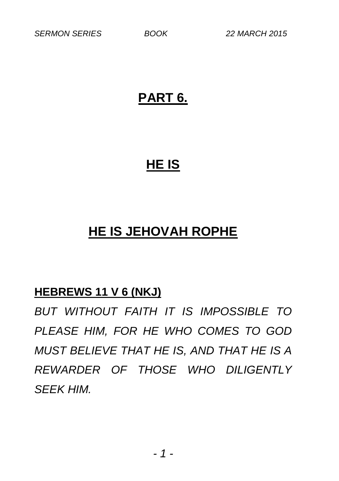## **PART 6.**

## **HE IS**

# **HE IS JEHOVAH ROPHE**

## **HEBREWS 11 V 6 (NKJ)**

*BUT WITHOUT FAITH IT IS IMPOSSIBLE TO PLEASE HIM, FOR HE WHO COMES TO GOD MUST BELIEVE THAT HE IS, AND THAT HE IS A REWARDER OF THOSE WHO DILIGENTLY SEEK HIM.*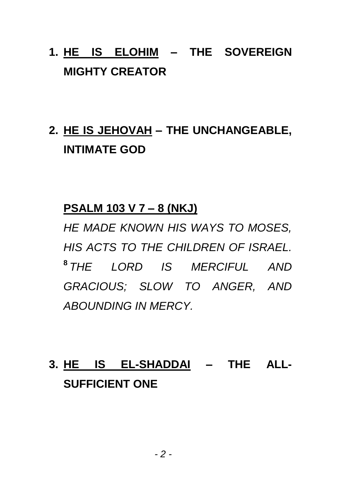# **1. HE IS ELOHIM – THE SOVEREIGN MIGHTY CREATOR**

# **2. HE IS JEHOVAH – THE UNCHANGEABLE, INTIMATE GOD**

#### **PSALM 103 V 7 – 8 (NKJ)**

*HE MADE KNOWN HIS WAYS TO MOSES, HIS ACTS TO THE CHILDREN OF ISRAEL.*  **8** *THE LORD IS MERCIFUL AND GRACIOUS; SLOW TO ANGER, AND ABOUNDING IN MERCY.*

# **3. HE IS EL-SHADDAI – THE ALL-SUFFICIENT ONE**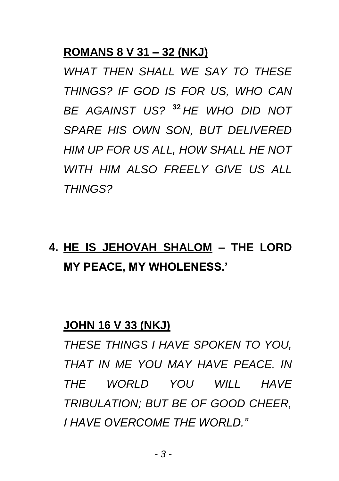## **ROMANS 8 V 31 – 32 (NKJ)**

*WHAT THEN SHALL WE SAY TO THESE THINGS? IF GOD IS FOR US, WHO CAN BE AGAINST US?* **<sup>32</sup>** *HE WHO DID NOT SPARE HIS OWN SON, BUT DELIVERED HIM UP FOR US ALL, HOW SHALL HE NOT WITH HIM ALSO FREELY GIVE US ALL THINGS?*

# **4. HE IS JEHOVAH SHALOM – THE LORD MY PEACE, MY WHOLENESS.'**

#### **JOHN 16 V 33 (NKJ)**

*THESE THINGS I HAVE SPOKEN TO YOU, THAT IN ME YOU MAY HAVE PEACE. IN THE WORLD YOU WILL HAVE TRIBULATION; BUT BE OF GOOD CHEER, I HAVE OVERCOME THE WORLD."*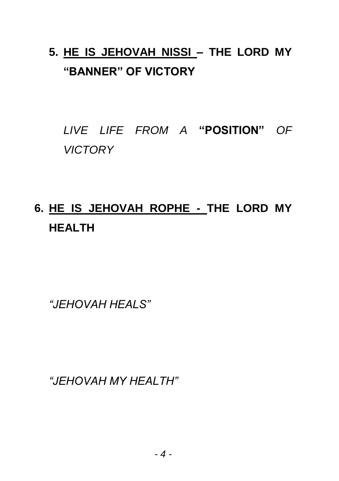# **5. HE IS JEHOVAH NISSI – THE LORD MY "BANNER" OF VICTORY**

*LIVE LIFE FROM A* **"POSITION"** *OF VICTORY*

# **6. HE IS JEHOVAH ROPHE - THE LORD MY HEALTH**

*"JEHOVAH HEALS"*

*"JEHOVAH MY HEALTH"*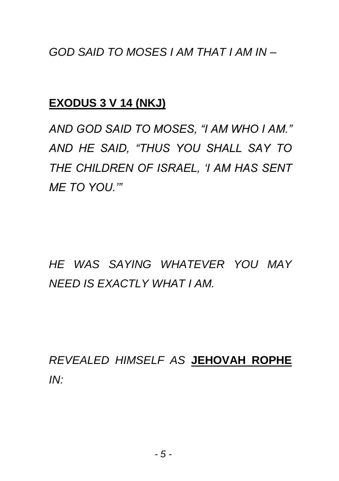*GOD SAID TO MOSES I AM THAT I AM IN –*

#### **EXODUS 3 V 14 (NKJ)**

*AND GOD SAID TO MOSES, "I AM WHO I AM." AND HE SAID, "THUS YOU SHALL SAY TO THE CHILDREN OF ISRAEL, 'I AM HAS SENT ME TO YOU.'"*

*HE WAS SAYING WHATEVER YOU MAY NEED IS EXACTLY WHAT I AM.*

*REVEALED HIMSELF AS* **JEHOVAH ROPHE** *IN:*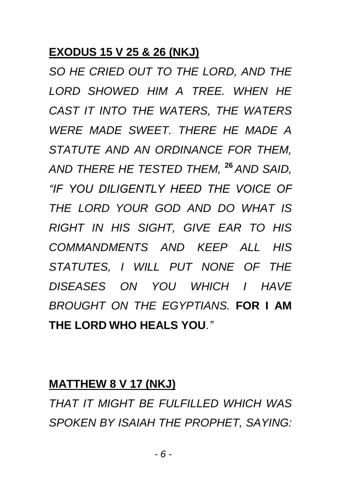#### **EXODUS 15 V 25 & 26 (NKJ)**

*SO HE CRIED OUT TO THE LORD, AND THE LORD SHOWED HIM A TREE. WHEN HE CAST IT INTO THE WATERS, THE WATERS WERE MADE SWEET. THERE HE MADE A STATUTE AND AN ORDINANCE FOR THEM, AND THERE HE TESTED THEM,* **<sup>26</sup>** *AND SAID, "IF YOU DILIGENTLY HEED THE VOICE OF THE LORD YOUR GOD AND DO WHAT IS RIGHT IN HIS SIGHT, GIVE EAR TO HIS COMMANDMENTS AND KEEP ALL HIS STATUTES, I WILL PUT NONE OF THE DISEASES ON YOU WHICH I HAVE BROUGHT ON THE EGYPTIANS.* **FOR I AM THE LORD WHO HEALS YOU***."*

#### **MATTHEW 8 V 17 (NKJ)**

*THAT IT MIGHT BE FULFILLED WHICH WAS SPOKEN BY ISAIAH THE PROPHET, SAYING:*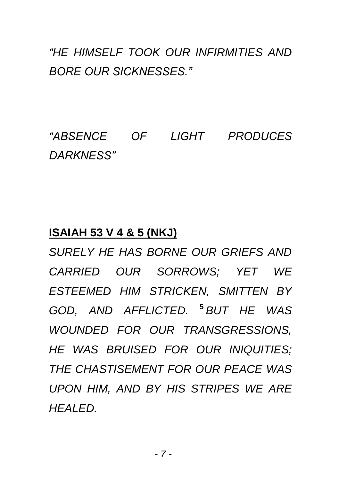## *"HE HIMSELF TOOK OUR INFIRMITIES AND BORE OUR SICKNESSES."*

*"ABSENCE OF LIGHT PRODUCES DARKNESS"*

#### **ISAIAH 53 V 4 & 5 (NKJ)**

*SURELY HE HAS BORNE OUR GRIEFS AND CARRIED OUR SORROWS; YET WE ESTEEMED HIM STRICKEN, SMITTEN BY GOD, AND AFFLICTED.* **<sup>5</sup>** *BUT HE WAS WOUNDED FOR OUR TRANSGRESSIONS, HE WAS BRUISED FOR OUR INIQUITIES; THE CHASTISEMENT FOR OUR PEACE WAS UPON HIM, AND BY HIS STRIPES WE ARE HEALED.*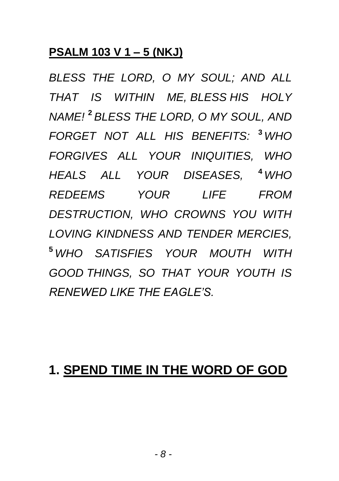## **PSALM 103 V 1 – 5 (NKJ)**

*BLESS THE LORD, O MY SOUL; AND ALL THAT IS WITHIN ME, BLESS HIS HOLY NAME!* **<sup>2</sup>** *BLESS THE LORD, O MY SOUL, AND FORGET NOT ALL HIS BENEFITS:* **<sup>3</sup>** *WHO FORGIVES ALL YOUR INIQUITIES, WHO HEALS ALL YOUR DISEASES,* **<sup>4</sup>** *WHO REDEEMS YOUR LIFE FROM DESTRUCTION, WHO CROWNS YOU WITH LOVING KINDNESS AND TENDER MERCIES,*  **<sup>5</sup>** *WHO SATISFIES YOUR MOUTH WITH GOOD THINGS, SO THAT YOUR YOUTH IS RENEWED LIKE THE EAGLE'S.*

## **1. SPEND TIME IN THE WORD OF GOD**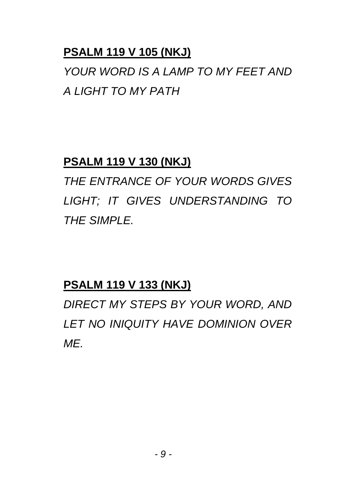## **PSALM 119 V 105 (NKJ)**

*YOUR WORD IS A LAMP TO MY FEET AND A LIGHT TO MY PATH*

## **PSALM 119 V 130 (NKJ)**

*THE ENTRANCE OF YOUR WORDS GIVES LIGHT; IT GIVES UNDERSTANDING TO THE SIMPLE.*

## **PSALM 119 V 133 (NKJ)**

*DIRECT MY STEPS BY YOUR WORD, AND LET NO INIQUITY HAVE DOMINION OVER ME.*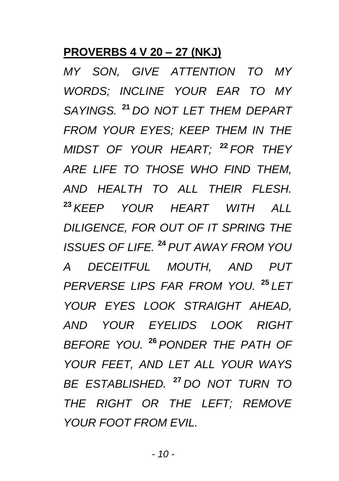## **PROVERBS 4 V 20 – 27 (NKJ)**

*MY SON, GIVE ATTENTION TO MY WORDS; INCLINE YOUR EAR TO MY SAYINGS.* **<sup>21</sup>** *DO NOT LET THEM DEPART FROM YOUR EYES; KEEP THEM IN THE MIDST OF YOUR HEART;* **<sup>22</sup>** *FOR THEY ARE LIFE TO THOSE WHO FIND THEM, AND HEALTH TO ALL THEIR FLESH.*  **<sup>23</sup>** *KEEP YOUR HEART WITH ALL DILIGENCE, FOR OUT OF IT SPRING THE ISSUES OF LIFE.* **<sup>24</sup>** *PUT AWAY FROM YOU A DECEITFUL MOUTH, AND PUT PERVERSE LIPS FAR FROM YOU.* **<sup>25</sup>** *LET YOUR EYES LOOK STRAIGHT AHEAD, AND YOUR EYELIDS LOOK RIGHT BEFORE YOU.* **<sup>26</sup>** *PONDER THE PATH OF YOUR FEET, AND LET ALL YOUR WAYS BE ESTABLISHED.* **<sup>27</sup>** *DO NOT TURN TO THE RIGHT OR THE LEFT; REMOVE YOUR FOOT FROM EVIL.*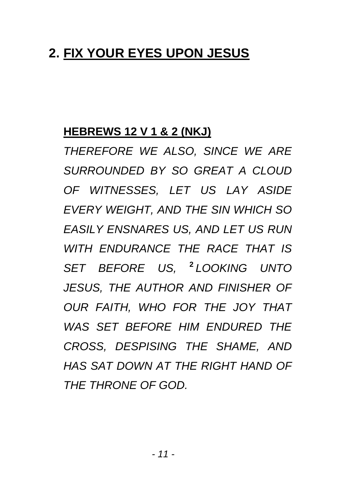# **2. FIX YOUR EYES UPON JESUS**

## **HEBREWS 12 V 1 & 2 (NKJ)**

*THEREFORE WE ALSO, SINCE WE ARE SURROUNDED BY SO GREAT A CLOUD OF WITNESSES, LET US LAY ASIDE EVERY WEIGHT, AND THE SIN WHICH SO EASILY ENSNARES US, AND LET US RUN WITH ENDURANCE THE RACE THAT IS SET BEFORE US,* **<sup>2</sup>** *LOOKING UNTO JESUS, THE AUTHOR AND FINISHER OF OUR FAITH, WHO FOR THE JOY THAT WAS SET BEFORE HIM ENDURED THE CROSS, DESPISING THE SHAME, AND HAS SAT DOWN AT THE RIGHT HAND OF THE THRONE OF GOD.*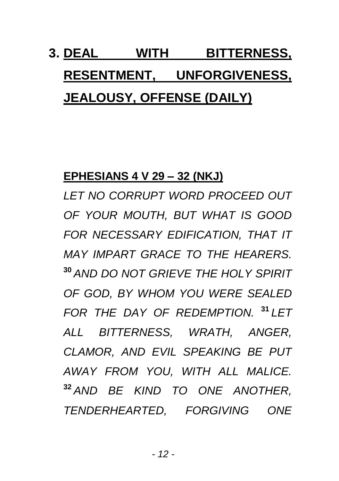# **3. DEAL WITH BITTERNESS, RESENTMENT, UNFORGIVENESS, JEALOUSY, OFFENSE (DAILY)**

## **EPHESIANS 4 V 29 – 32 (NKJ)**

*LET NO CORRUPT WORD PROCEED OUT OF YOUR MOUTH, BUT WHAT IS GOOD FOR NECESSARY EDIFICATION, THAT IT MAY IMPART GRACE TO THE HEARERS.* **<sup>30</sup>** *AND DO NOT GRIEVE THE HOLY SPIRIT OF GOD, BY WHOM YOU WERE SEALED FOR THE DAY OF REDEMPTION.* **<sup>31</sup>** *LET ALL BITTERNESS, WRATH, ANGER, CLAMOR, AND EVIL SPEAKING BE PUT AWAY FROM YOU, WITH ALL MALICE.* **<sup>32</sup>** *AND BE KIND TO ONE ANOTHER, TENDERHEARTED, FORGIVING ONE*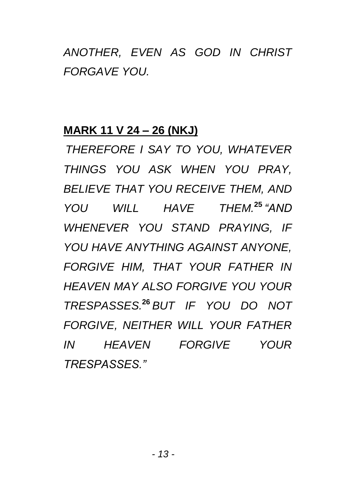# *ANOTHER, EVEN AS GOD IN CHRIST FORGAVE YOU.*

#### **MARK 11 V 24 – 26 (NKJ)**

*THEREFORE I SAY TO YOU, WHATEVER THINGS YOU ASK WHEN YOU PRAY, BELIEVE THAT YOU RECEIVE THEM, AND YOU WILL HAVE THEM.***<sup>25</sup>** *"AND WHENEVER YOU STAND PRAYING, IF YOU HAVE ANYTHING AGAINST ANYONE, FORGIVE HIM, THAT YOUR FATHER IN HEAVEN MAY ALSO FORGIVE YOU YOUR TRESPASSES.***<sup>26</sup>** *BUT IF YOU DO NOT FORGIVE, NEITHER WILL YOUR FATHER IN HEAVEN FORGIVE YOUR TRESPASSES."*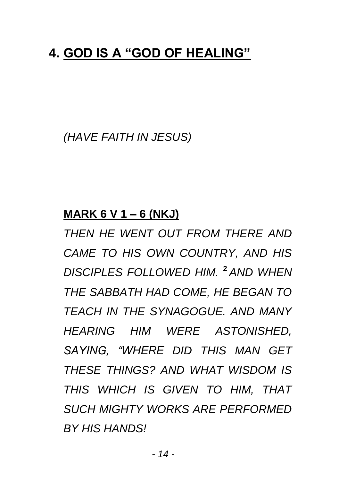## **4. GOD IS A "GOD OF HEALING"**

*(HAVE FAITH IN JESUS)*

#### **MARK 6 V 1 – 6 (NKJ)**

*THEN HE WENT OUT FROM THERE AND CAME TO HIS OWN COUNTRY, AND HIS DISCIPLES FOLLOWED HIM.* **<sup>2</sup>** *AND WHEN THE SABBATH HAD COME, HE BEGAN TO TEACH IN THE SYNAGOGUE. AND MANY HEARING HIM WERE ASTONISHED, SAYING, "WHERE DID THIS MAN GET THESE THINGS? AND WHAT WISDOM IS THIS WHICH IS GIVEN TO HIM, THAT SUCH MIGHTY WORKS ARE PERFORMED BY HIS HANDS!*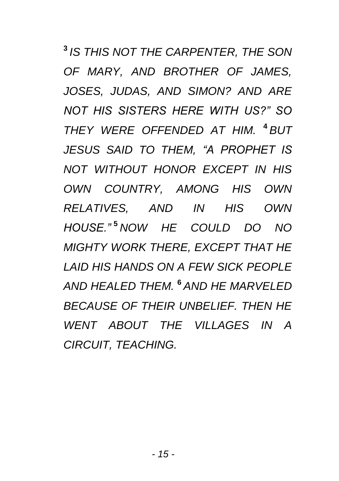**3** *IS THIS NOT THE CARPENTER, THE SON OF MARY, AND BROTHER OF JAMES, JOSES, JUDAS, AND SIMON? AND ARE NOT HIS SISTERS HERE WITH US?" SO THEY WERE OFFENDED AT HIM.* **<sup>4</sup>** *BUT JESUS SAID TO THEM, "A PROPHET IS NOT WITHOUT HONOR EXCEPT IN HIS OWN COUNTRY, AMONG HIS OWN RELATIVES, AND IN HIS OWN HOUSE."* **<sup>5</sup>** *NOW HE COULD DO NO MIGHTY WORK THERE, EXCEPT THAT HE LAID HIS HANDS ON A FEW SICK PEOPLE AND HEALED THEM.* **<sup>6</sup>** *AND HE MARVELED BECAUSE OF THEIR UNBELIEF. THEN HE WENT ABOUT THE VILLAGES IN A CIRCUIT, TEACHING.*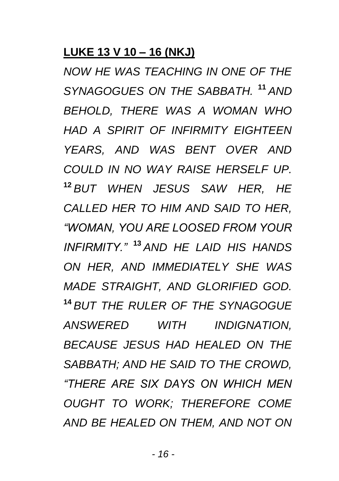## **LUKE 13 V 10 – 16 (NKJ)**

*NOW HE WAS TEACHING IN ONE OF THE SYNAGOGUES ON THE SABBATH.* **<sup>11</sup>** *AND BEHOLD, THERE WAS A WOMAN WHO HAD A SPIRIT OF INFIRMITY EIGHTEEN YEARS, AND WAS BENT OVER AND COULD IN NO WAY RAISE HERSELF UP.* **<sup>12</sup>** *BUT WHEN JESUS SAW HER, HE CALLED HER TO HIM AND SAID TO HER, "WOMAN, YOU ARE LOOSED FROM YOUR INFIRMITY."* **<sup>13</sup>** *AND HE LAID HIS HANDS ON HER, AND IMMEDIATELY SHE WAS MADE STRAIGHT, AND GLORIFIED GOD.* **<sup>14</sup>** *BUT THE RULER OF THE SYNAGOGUE ANSWERED WITH INDIGNATION, BECAUSE JESUS HAD HEALED ON THE SABBATH; AND HE SAID TO THE CROWD, "THERE ARE SIX DAYS ON WHICH MEN OUGHT TO WORK; THEREFORE COME AND BE HEALED ON THEM, AND NOT ON*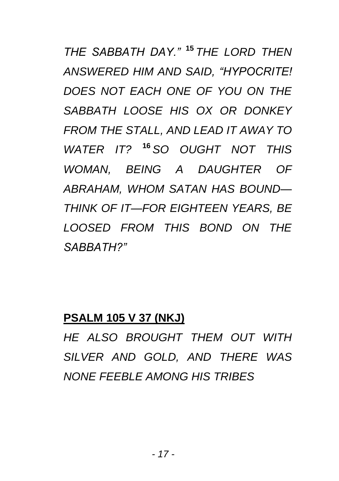*THE SABBATH DAY."* **<sup>15</sup>** *THE LORD THEN ANSWERED HIM AND SAID, "HYPOCRITE! DOES NOT EACH ONE OF YOU ON THE SABBATH LOOSE HIS OX OR DONKEY FROM THE STALL, AND LEAD IT AWAY TO WATER IT?* **<sup>16</sup>** *SO OUGHT NOT THIS WOMAN, BEING A DAUGHTER OF ABRAHAM, WHOM SATAN HAS BOUND— THINK OF IT—FOR EIGHTEEN YEARS, BE LOOSED FROM THIS BOND ON THE SABBATH?"*

#### **PSALM 105 V 37 (NKJ)**

*HE ALSO BROUGHT THEM OUT WITH SILVER AND GOLD, AND THERE WAS NONE FEEBLE AMONG HIS TRIBES*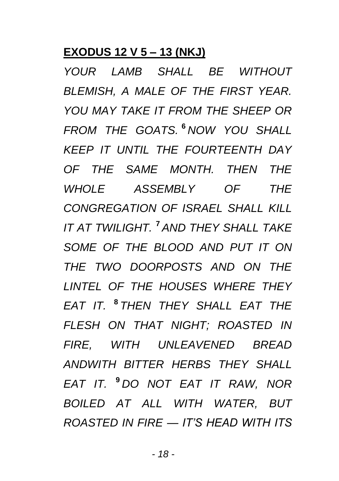## **EXODUS 12 V 5 – 13 (NKJ)**

*YOUR LAMB SHALL BE WITHOUT BLEMISH, A MALE OF THE FIRST YEAR. YOU MAY TAKE IT FROM THE SHEEP OR FROM THE GOATS.* **<sup>6</sup>** *NOW YOU SHALL KEEP IT UNTIL THE FOURTEENTH DAY OF THE SAME MONTH. THEN THE WHOLE ASSEMBLY OF THE CONGREGATION OF ISRAEL SHALL KILL IT AT TWILIGHT.* **<sup>7</sup>** *AND THEY SHALL TAKE SOME OF THE BLOOD AND PUT IT ON THE TWO DOORPOSTS AND ON THE LINTEL OF THE HOUSES WHERE THEY EAT IT.* **<sup>8</sup>** *THEN THEY SHALL EAT THE FLESH ON THAT NIGHT; ROASTED IN FIRE, WITH UNLEAVENED BREAD ANDWITH BITTER HERBS THEY SHALL EAT IT.* **<sup>9</sup>** *DO NOT EAT IT RAW, NOR BOILED AT ALL WITH WATER, BUT ROASTED IN FIRE — IT'S HEAD WITH ITS*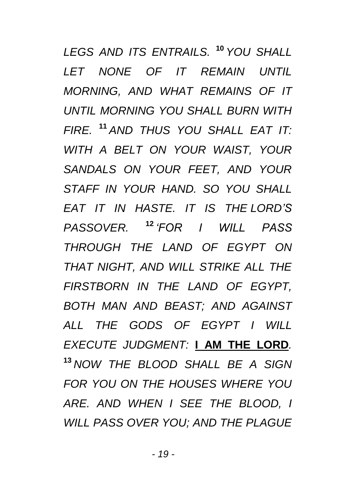*LEGS AND ITS ENTRAILS.* **<sup>10</sup>** *YOU SHALL LET NONE OF IT REMAIN UNTIL MORNING, AND WHAT REMAINS OF IT UNTIL MORNING YOU SHALL BURN WITH FIRE.* **<sup>11</sup>** *AND THUS YOU SHALL EAT IT: WITH A BELT ON YOUR WAIST, YOUR SANDALS ON YOUR FEET, AND YOUR STAFF IN YOUR HAND. SO YOU SHALL EAT IT IN HASTE. IT IS THE LORD'S PASSOVER.* **<sup>12</sup>** *'FOR I WILL PASS THROUGH THE LAND OF EGYPT ON THAT NIGHT, AND WILL STRIKE ALL THE FIRSTBORN IN THE LAND OF EGYPT, BOTH MAN AND BEAST; AND AGAINST ALL THE GODS OF EGYPT I WILL EXECUTE JUDGMENT:* **I AM THE LORD***.* **<sup>13</sup>** *NOW THE BLOOD SHALL BE A SIGN FOR YOU ON THE HOUSES WHERE YOU ARE. AND WHEN I SEE THE BLOOD, I WILL PASS OVER YOU; AND THE PLAGUE*